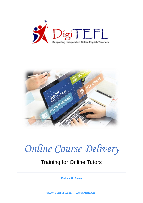



# *Online Course Delivery*

# Training for Online Tutors

**[Dates & Fees](http://digitefl.com/index.php/prices-dates/)**

**[www.DigiTEFL.com](http://www.digitefl.com/)** – **[www.MrBee.uk](http://www.mrbee.uk/)**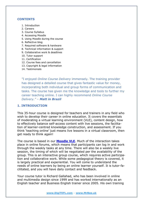#### **CONTENTS**

- 1. Introduction
- 2. Careers
- 3. Course Syllabus
- 4. Accessing Moodle
- 5. Using Moodle during the course
- 6. Reflective blog
- 7. Required software & hardware
- 8. Technical information & support
- 9. Collaborative work & deadlines
- 10. Tutor support
- 11. Certification
- 12. Course fees and cancellation
- 13. Copyright & legal information
- 14. Testimonials

"I enjoyed *Online Course Delivery* immensely. The training provider has designed a detailed course that gives fantastic value for money, incorporating both individual and group forms of communication and tasks. The course has given me the knowledge and tools to further my career teaching online. I can highly recommend *Online Course Delivery." – Matt in Brazil*

#### **1. INTRODUCTION**

This 35-hour course is designed for teachers and trainers in any field who wish to develop their career in online education. It covers the essentials of moderating a virtual learning environment (VLE), content design, how to effectively balance self-access content with live sessions, the facilitation of learner-centred knowledge construction, and assessment. If you think 'teaching online' just means live lessons in a virtual classroom, then get ready to think again!

The course is based in our **[Moodle VLE](http://digitefl.com/moodle/)**. Much of the interaction takes place in online forums, which means that participants can log in and work through the weekly tasks at any time. There will also be a weekly live session, the timing of which will be negotiated per the availability of the group. This is an interactive group course, which requires active participation and collaborative work. While some pedagogical theory is covered, it is largely practical and experiential. You will come to understand the needs of online learners by being an online learner yourself. It is tutor-facilitated, and you will have daily contact and feedback.

Your course tutor is Richard Gallahad, who has been involved in online and multimedia design since 1999 and has worked internationally as an English teacher and Business English trainer since 2005. His own training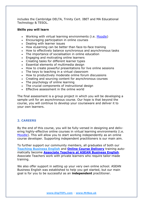includes the Cambridge DELTA, Trinity Cert. IBET and MA Educational Technology & TESOL.

#### **Skills you will learn**

- Working with virtual learning environments (i.e. [Moodle\)](http://digitefl.com/moodle)
- Encouraging participation in online courses
- Dealing with learner issues
- How eLearning can be better than face-to-face training
- How to effectively balance synchronous and asynchronous tasks
- The importance of socialisation in online education
- Engaging and motivating online learners
- Creating tasks for different learner types
- Essential elements of multimedia design
- How to create powerful presentations for live online sessions
- The keys to teaching in a virtual classroom
- How to productively moderate online forum discussions
- Creating and sourcing content for asynchronous courses
- The psychology of online learning
- The crucial components of instructional design
- Effective assessment in the online world

The final assessment is a group project in which you will be developing a sample unit for an asynchronous course. Our hope is that beyond the course, you will continue to develop your courseware and deliver it to your own learners.

## **2. CAREERS**

By the end of this course, you will be fully-versed in designing and delivering highly-effective online courses in virtual learning environments (i.e. [Moodle\)](http://digitefl.com/index.php/2021/06/23/moodle-vle/). This will allow you to start working independently as an online course developer. Supporting independent practitioners is our main aim.

To further support our community members, all graduates of both our **[Teaching Business English](http://digitefl.com/index.php/2021/06/21/teaching-business-english/)** and **[Online Course Delivery](http://digitefl.com/index.php/2021/06/21/online-course-delivery-training-for-online-tutors/)** training automatically become **[Associate Teachers at ASEAN Business English](http://digitefl.com/index.php/2021/06/23/freelance-teaching/)**. Associate Teachers work with private learners who require tailor-made training.

We also offer support in setting up your very own online school. ASEAN Business English was established to help you get started, but our main goal is for you to be successful as an **independent** practitioner.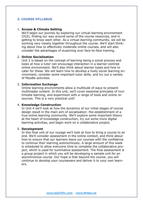# **3. COURSE SYLLABUS**

#### 1. **Access & Climate Setting**

We'll begin our journey by exploring our virtual learning environment (VLE), finding our way around some of the course resources, and in getting to know each other. As a virtual learning community, we will be working very closely together throughout the course. We'll start thinking about how to effectively moderate online courses, and will also consider the advantages of eLearning over face-to-face training.

#### 2. **Online Socialisation**

Unit 2 is based on the concept of learning being a social process and looks at how a tutor can encourage interaction in a learner-centred online environment. We'll also think about learner types and how to cater for these. We will learn how to develop a lively social learning environment, consider some important tutor skills, and try out a variety of Moodle activities.

#### 3. **Information Exchange**

Online learning environments allow a multitude of ways to present multimedia content. In this unit, we'll cover essential principles of multimedia learning, and experiment with a range of tools and online resources. This is a very practical unit!

#### 4. **Knowledge Construction**

In Unit 4 we'll look at how the dynamics of our initial stages of course design result in the main aim of socialisation: the establishment of a true online learning community. We'll explore some important theory at the heart of knowledge construction, try out some more digital learning activities, and begin work on a collaborative project.

#### 5. **Development**

In this final unit of our voyage we'll look at how to bring a course to an end. We'll consider assessment in the online context, and think about how to ensure that our learners leave our courses with the confidence to continue their learning autonomously. A large amount of this week is scheduled to allow everyone time to complete the collaborative project, which is used for summative assessment. The final assessment is a group project in which you will be developing a sample unit for an asynchronous course. Our hope is that beyond the course, you will continue to develop your courseware and deliver it to your own learners.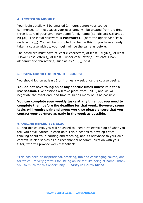#### **4. ACCESSING MOODLE**

Your login details will be emailed 24 hours before your course commences. In most cases your username will be created from the first three letters of your given name and family name (i.e **Ric**hard **Gal**lahad . **ricgal**). The initial password is **Password1\_** (note the upper-case '**P**' & underscore **\_**). You will be prompted to change this. If you have already taken a course with us, your login will be the same as before.

The password must have at least 8 characters, at least 1 digit(s), at least 1 lower case letter(s), at least 1 upper case letter(s), at least 1 nonalphanumeric character(s) such as as  $*$ ,  $-$ ,  $\overline{\phantom{a}}$ , or  $\overline{\phantom{a}}$ .

#### **5. USING MOODLE DURING THE COURSE**

You should log on at least 3 or 4 times a week once the course begins.

**You do not have to log on at any specific times unless it is for a live session.** Live sessions will take place from Unit 1, and we will negotiate the exact date and time to suit as many of us as possible.

**You can complete your weekly tasks at any time, but you need to complete them before the deadline for that week. However, some tasks will require pair and group work, so please ensure that you contact your partners as early in the week as possible.**

#### **6. ONLINE REFLECTIVE BLOG**

During this course, you will be asked to keep a reflective blog of what you feel you have learned in each unit. This functions to develop critical thinking about your learning and teaching, and its relevance to your own context. It also serves as a direct channel of communication with your tutor, who will provide weekly feedback.

"This has been an inspirational, amazing, fun and challenging course, one for which I'm very grateful for. Being online felt like being at home. Thank you so much for this opportunity." – **Sissy in South Africa**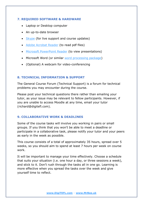# **7. REQUIRED SOFTWARE & HARDWARE**

- Laptop or Desktop computer
- An up-to-date browser
- [Skype](https://www.skype.com/en/get-skype/) (for live support and course updates)
- [Adobe Acrobat Reader](https://get.adobe.com/reader/) (to read pdf files)
- [Microsoft PowerPoint Reader](https://www.microsoft.com/en-us/p/pptx-viewer/9np64t9094lb?activetab=pivot:overviewtab) (to view presentations)
- Microsoft Word (or similar [word processing package\)](https://www.openoffice.org/download/index.html)
- (Optional) A webcam for video-conferencing

# **8. TECHNICAL INFORMATION & SUPPORT**

The General Course Forum (Technical Support) is a forum for technical problems you may encounter during the course.

Please post your technical questions there rather than emailing your tutor, as your issue may be relevant to fellow participants. However, if you are unable to access Moodle at any time, email your tutor (richard@digitefl.com).

# **9. COLLABORATIVE WORK & DEADLINES**

Some of the course tasks will involve you working in pairs or small groups. If you think that you won't be able to meet a deadline or participate in a collaborative task, please notify your tutor and your peers as early in the week as possible.

This course consists of a total of approximately 35 hours, spread over 5 weeks, so you should aim to spend at least 7 hours per week on course work.

It will be important to manage your time effectively. Choose a schedule that suits your situation (i.e. one hour a day, or three sessions a week), and stick to it. Don't rush through the tasks all in one go. Learning is more effective when you spread the tasks over the week and give yourself time to reflect.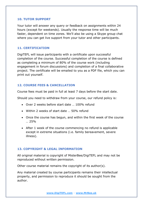## **10. TUTOR SUPPORT**

Your tutor will answer any query or feedback on assignments within 24 hours (except for weekends). Usually the response time will be much faster, dependent on time zones. We'll also be using a Skype group chat where you can get live support from your tutor and other participants.

# **11. CERTIFICATION**

DigiTEFL will issue participants with a certificate upon successful completion of the course. Successful completion of the course is defined as completing a minimum of 80% of the course work (including engagement in forum discussions) and completion of a final collaborative project. The certificate will be emailed to you as a PDF file, which you can print out yourself.

# **12. COURSE FEES & CANCELLATION**

Course fees must be paid in full at least 7 days before the start date.

Should you need to withdraw from your course, our refund policy is:

- Over 2 weeks before start date … 100% refund
- Within 2 weeks of start date … 50% refund
- Once the course has begun, and within the first week of the course … 25%
- After 1 week of the course commencing no refund is applicable except in extreme situations (i.e. family bereavement, severe illness).

# **13. COPYRIGHT & LEGAL INFORMATION**

All original material is copyright of MisterBee/DigiTEFL and may not be reproduced without written permission.

Other course material remains the copyright of its author(s).

Any material created by course participants remains their intellectual property, and permission to reproduce it should be sought from the author.